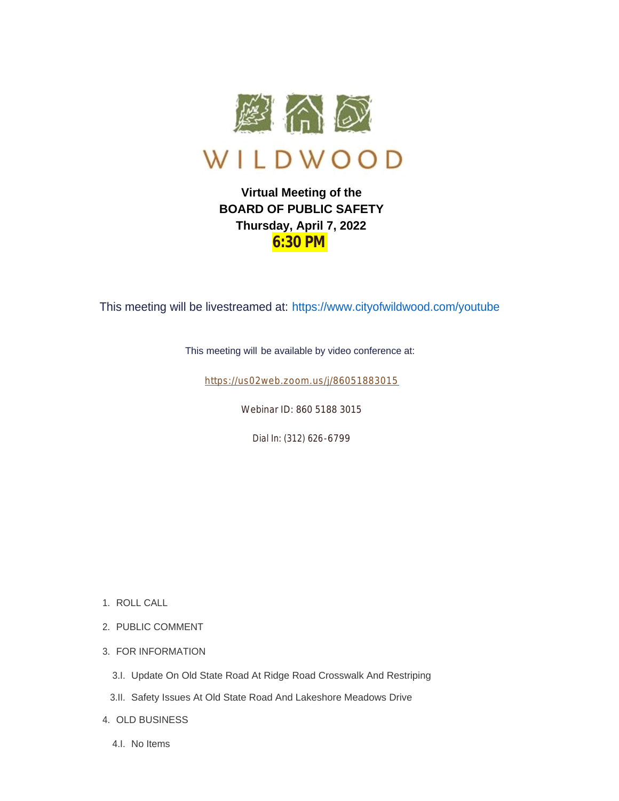

## **Virtual Meeting of the BOARD OF PUBLIC SAFETY Thursday, April 7, 2022 6:30 PM**

This meeting will be livestreamed at: https://www.cityofwildwood.com/youtube

This meeting will be available by video conference at:

https://us02web.zoom.us/j/86051883015

Webinar ID: 860 5188 3015

Dial In: (312) 626-6799

- 1. ROLL CALL
- 2. PUBLIC COMMENT
- 3. FOR INFORMATION
	- 3.I. Update On Old State Road At Ridge Road Crosswalk And Restriping
- Safety Issues At Old State Road And Lakeshore Meadows Drive 3.II.
- OLD BUSINESS 4.
	- 4.I. No Items